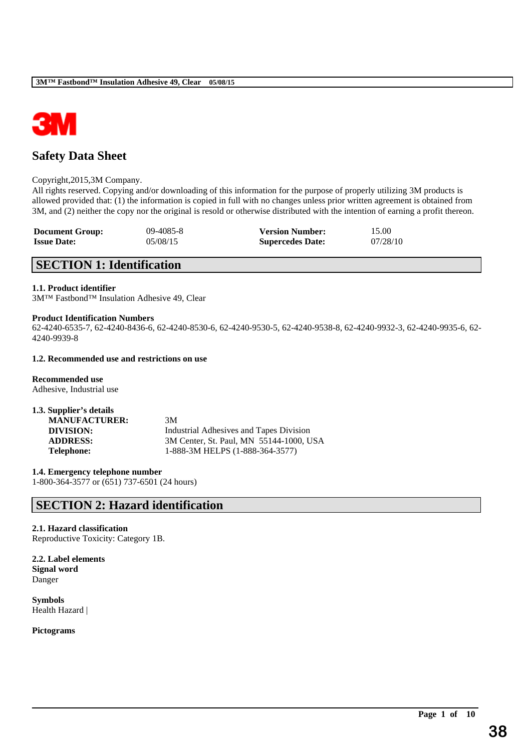

# **Safety Data Sheet**

### Copyright,2015,3M Company.

All rights reserved. Copying and/or downloading of this information for the purpose of properly utilizing 3M products is allowed provided that: (1) the information is copied in full with no changes unless prior written agreement is obtained from 3M, and (2) neither the copy nor the original is resold or otherwise distributed with the intention of earning a profit thereon.

| <b>Document Group:</b> | $09 - 4085 - 8$ | <b>Version Number:</b>  | 15.00    |
|------------------------|-----------------|-------------------------|----------|
| <b>Issue Date:</b>     | 05/08/15        | <b>Supercedes Date:</b> | 07/28/10 |

# **SECTION 1: Identification**

### **1.1. Product identifier**

3M™ Fastbond™ Insulation Adhesive 49, Clear

## **Product Identification Numbers**

62-4240-6535-7, 62-4240-8436-6, 62-4240-8530-6, 62-4240-9530-5, 62-4240-9538-8, 62-4240-9932-3, 62-4240-9935-6, 62- 4240-9939-8

\_\_\_\_\_\_\_\_\_\_\_\_\_\_\_\_\_\_\_\_\_\_\_\_\_\_\_\_\_\_\_\_\_\_\_\_\_\_\_\_\_\_\_\_\_\_\_\_\_\_\_\_\_\_\_\_\_\_\_\_\_\_\_\_\_\_\_\_\_\_\_\_\_\_\_\_\_\_\_\_\_\_\_\_\_\_\_\_\_\_

## **1.2. Recommended use and restrictions on use**

**Recommended use** Adhesive, Industrial use

| 1.3. Supplier's details |                                         |
|-------------------------|-----------------------------------------|
| <b>MANUFACTURER:</b>    | 3M                                      |
| DIVISION:               | Industrial Adhesives and Tapes Division |
| <b>ADDRESS:</b>         | 3M Center, St. Paul, MN 55144-1000, USA |
| <b>Telephone:</b>       | 1-888-3M HELPS (1-888-364-3577)         |

**1.4. Emergency telephone number** 1-800-364-3577 or (651) 737-6501 (24 hours)

# **SECTION 2: Hazard identification**

# **2.1. Hazard classification**

Reproductive Toxicity: Category 1B.

**2.2. Label elements Signal word** Danger

**Symbols** Health Hazard |

# **Pictograms**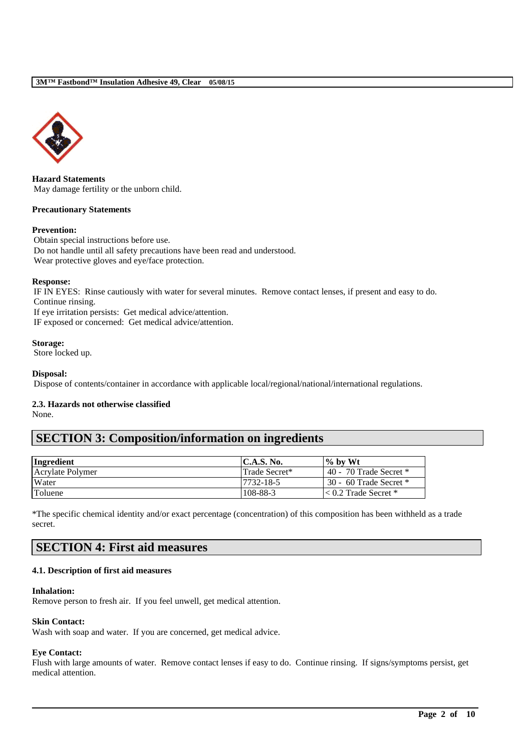

**Hazard Statements** May damage fertility or the unborn child.

### **Precautionary Statements**

### **Prevention:**

Obtain special instructions before use. Do not handle until all safety precautions have been read and understood. Wear protective gloves and eye/face protection.

### **Response:**

IF IN EYES: Rinse cautiously with water for several minutes. Remove contact lenses, if present and easy to do. Continue rinsing. If eye irritation persists: Get medical advice/attention.

IF exposed or concerned: Get medical advice/attention.

### **Storage:**

Store locked up.

**Disposal:**

Dispose of contents/container in accordance with applicable local/regional/national/international regulations.

# **2.3. Hazards not otherwise classified**

None.

# **SECTION 3: Composition/information on ingredients**

| Ingredient       | $\mathsf{IC.A.S.}\,\mathsf{No.}$ | $\%$ by Wt                  |
|------------------|----------------------------------|-----------------------------|
| Acrylate Polymer | Trade Secret*                    | 40 - 70 Trade Secret $*$    |
| Water            | 17732-18-5                       | 30 - 60 Trade Secret *      |
| <b>Toluene</b>   | 108-88-3                         | $\leq 0.2$ Trade Secret $*$ |

\*The specific chemical identity and/or exact percentage (concentration) of this composition has been withheld as a trade secret.

# **SECTION 4: First aid measures**

### **4.1. Description of first aid measures**

**Inhalation:** 

Remove person to fresh air. If you feel unwell, get medical attention.

### **Skin Contact:**

Wash with soap and water. If you are concerned, get medical advice.

# **Eye Contact:**

Flush with large amounts of water. Remove contact lenses if easy to do. Continue rinsing. If signs/symptoms persist, get medical attention.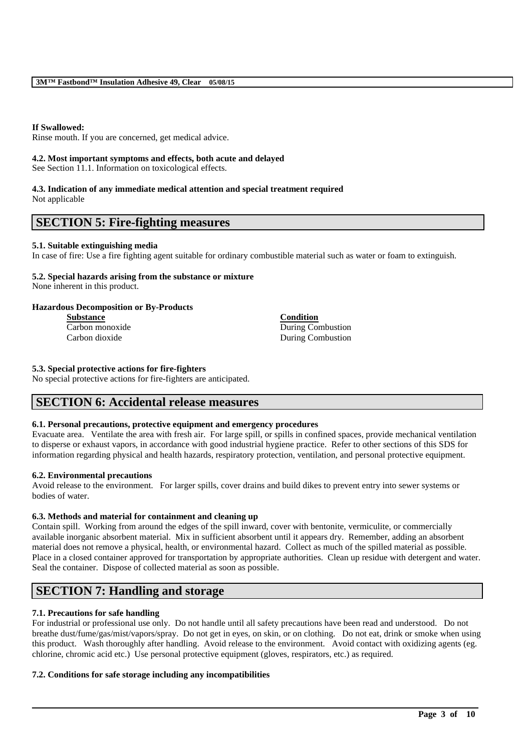# **If Swallowed:**

Rinse mouth. If you are concerned, get medical advice.

### **4.2. Most important symptoms and effects, both acute and delayed**

See Section 11.1. Information on toxicological effects.

# **4.3. Indication of any immediate medical attention and special treatment required**

Not applicable

# **SECTION 5: Fire-fighting measures**

# **5.1. Suitable extinguishing media**

In case of fire: Use a fire fighting agent suitable for ordinary combustible material such as water or foam to extinguish.

### **5.2. Special hazards arising from the substance or mixture** None inherent in this product.

**Hazardous Decomposition or By-Products Substance Condition**

Carbon monoxide During Combustion Carbon dioxide During Combustion

# **5.3. Special protective actions for fire-fighters**

No special protective actions for fire-fighters are anticipated.

# **SECTION 6: Accidental release measures**

# **6.1. Personal precautions, protective equipment and emergency procedures**

Evacuate area. Ventilate the area with fresh air. For large spill, or spills in confined spaces, provide mechanical ventilation to disperse or exhaust vapors, in accordance with good industrial hygiene practice. Refer to other sections of this SDS for information regarding physical and health hazards, respiratory protection, ventilation, and personal protective equipment.

# **6.2. Environmental precautions**

Avoid release to the environment. For larger spills, cover drains and build dikes to prevent entry into sewer systems or bodies of water.

# **6.3. Methods and material for containment and cleaning up**

Contain spill. Working from around the edges of the spill inward, cover with bentonite, vermiculite, or commercially available inorganic absorbent material. Mix in sufficient absorbent until it appears dry. Remember, adding an absorbent material does not remove a physical, health, or environmental hazard. Collect as much of the spilled material as possible. Place in a closed container approved for transportation by appropriate authorities. Clean up residue with detergent and water. Seal the container. Dispose of collected material as soon as possible.

# **SECTION 7: Handling and storage**

# **7.1. Precautions for safe handling**

For industrial or professional use only. Do not handle until all safety precautions have been read and understood. Do not breathe dust/fume/gas/mist/vapors/spray. Do not get in eyes, on skin, or on clothing. Do not eat, drink or smoke when using this product. Wash thoroughly after handling. Avoid release to the environment. Avoid contact with oxidizing agents (eg. chlorine, chromic acid etc.) Use personal protective equipment (gloves, respirators, etc.) as required.

\_\_\_\_\_\_\_\_\_\_\_\_\_\_\_\_\_\_\_\_\_\_\_\_\_\_\_\_\_\_\_\_\_\_\_\_\_\_\_\_\_\_\_\_\_\_\_\_\_\_\_\_\_\_\_\_\_\_\_\_\_\_\_\_\_\_\_\_\_\_\_\_\_\_\_\_\_\_\_\_\_\_\_\_\_\_\_\_\_\_

# **7.2. Conditions for safe storage including any incompatibilities**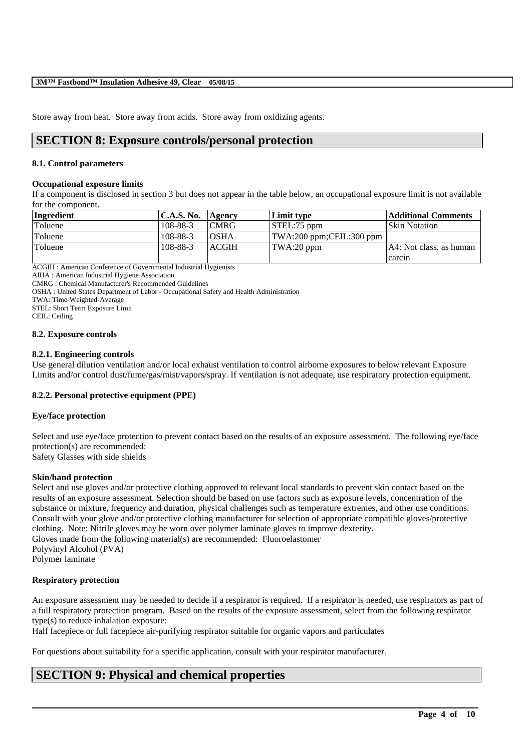Store away from heat. Store away from acids. Store away from oxidizing agents.

# **SECTION 8: Exposure controls/personal protection**

## **8.1. Control parameters**

### **Occupational exposure limits**

If a component is disclosed in section 3 but does not appear in the table below, an occupational exposure limit is not available for the component.

| Ingredient | <b>C.A.S. No.</b> | Agency       | Limit type                       | <b>Additional Comments</b> |
|------------|-------------------|--------------|----------------------------------|----------------------------|
| Toluene    | 108-88-3          | <b>CMRG</b>  | $STEL:75$ ppm                    | <b>Skin Notation</b>       |
| Toluene    | 108-88-3          | <b>OSHA</b>  | $\vert$ TWA:200 ppm;CEIL:300 ppm |                            |
| Toluene    | 108-88-3          | <b>ACGIH</b> | TWA:20 ppm                       | A4: Not class. as human    |
|            |                   |              |                                  | carcin                     |

ACGIH : American Conference of Governmental Industrial Hygienists

AIHA : American Industrial Hygiene Association

CMRG : Chemical Manufacturer's Recommended Guidelines

OSHA : United States Department of Labor - Occupational Safety and Health Administration

TWA: Time-Weighted-Average

STEL: Short Term Exposure Limit

CEIL: Ceiling

### **8.2. Exposure controls**

### **8.2.1. Engineering controls**

Use general dilution ventilation and/or local exhaust ventilation to control airborne exposures to below relevant Exposure Limits and/or control dust/fume/gas/mist/vapors/spray. If ventilation is not adequate, use respiratory protection equipment.

# **8.2.2. Personal protective equipment (PPE)**

# **Eye/face protection**

Select and use eye/face protection to prevent contact based on the results of an exposure assessment. The following eye/face protection(s) are recommended: Safety Glasses with side shields

# **Skin/hand protection**

Select and use gloves and/or protective clothing approved to relevant local standards to prevent skin contact based on the results of an exposure assessment. Selection should be based on use factors such as exposure levels, concentration of the substance or mixture, frequency and duration, physical challenges such as temperature extremes, and other use conditions. Consult with your glove and/or protective clothing manufacturer for selection of appropriate compatible gloves/protective clothing. Note: Nitrile gloves may be worn over polymer laminate gloves to improve dexterity. Gloves made from the following material(s) are recommended: Fluoroelastomer Polyvinyl Alcohol (PVA)

Polymer laminate

# **Respiratory protection**

An exposure assessment may be needed to decide if a respirator is required. If a respirator is needed, use respirators as part of a full respiratory protection program. Based on the results of the exposure assessment, select from the following respirator type(s) to reduce inhalation exposure:

\_\_\_\_\_\_\_\_\_\_\_\_\_\_\_\_\_\_\_\_\_\_\_\_\_\_\_\_\_\_\_\_\_\_\_\_\_\_\_\_\_\_\_\_\_\_\_\_\_\_\_\_\_\_\_\_\_\_\_\_\_\_\_\_\_\_\_\_\_\_\_\_\_\_\_\_\_\_\_\_\_\_\_\_\_\_\_\_\_\_

Half facepiece or full facepiece air-purifying respirator suitable for organic vapors and particulates

For questions about suitability for a specific application, consult with your respirator manufacturer.

# **SECTION 9: Physical and chemical properties**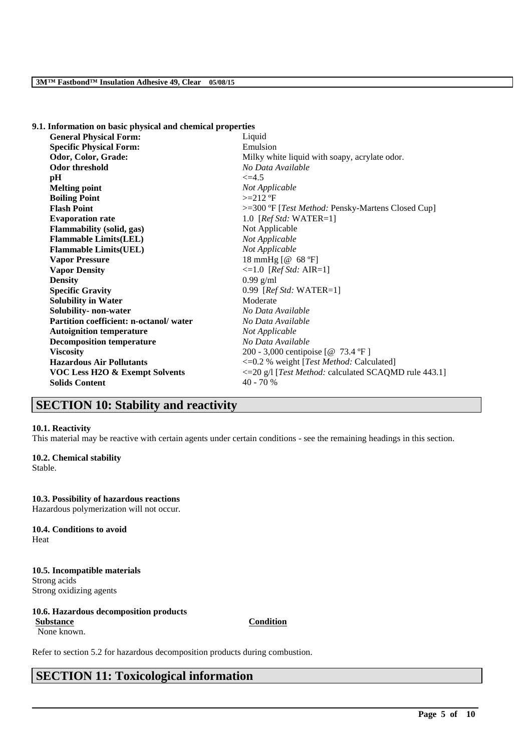| 9.1. Information on basic physical and chemical properties |                                                           |
|------------------------------------------------------------|-----------------------------------------------------------|
| <b>General Physical Form:</b>                              | Liquid                                                    |
| <b>Specific Physical Form:</b>                             | Emulsion                                                  |
| Odor, Color, Grade:                                        | Milky white liquid with soapy, acrylate odor.             |
| <b>Odor threshold</b>                                      | No Data Available                                         |
| pH                                                         | $\leq$ =4.5                                               |
| <b>Melting point</b>                                       | Not Applicable                                            |
| <b>Boiling Point</b>                                       | $>=212$ °F                                                |
| <b>Flash Point</b>                                         | >=300 °F [ <i>Test Method:</i> Pensky-Martens Closed Cup] |
| <b>Evaporation rate</b>                                    | 1.0 $[RefStd: WATER=1]$                                   |
| Flammability (solid, gas)                                  | Not Applicable                                            |
| <b>Flammable Limits(LEL)</b>                               | Not Applicable                                            |
| <b>Flammable Limits(UEL)</b>                               | Not Applicable                                            |
| <b>Vapor Pressure</b>                                      | 18 mmHg [@ 68 °F]                                         |
| <b>Vapor Density</b>                                       | $\leq 1.0$ [ <i>Ref Std: AIR=1</i> ]                      |
| <b>Density</b>                                             | $0.99$ g/ml                                               |
| <b>Specific Gravity</b>                                    | 0.99 [ $RefStd: WATER=1$ ]                                |
| <b>Solubility in Water</b>                                 | Moderate                                                  |
| Solubility- non-water                                      | No Data Available                                         |
| <b>Partition coefficient: n-octanol/water</b>              | No Data Available                                         |
| <b>Autoignition temperature</b>                            | Not Applicable                                            |
| <b>Decomposition temperature</b>                           | No Data Available                                         |
| <b>Viscosity</b>                                           | 200 - 3,000 centipoise [@ 73.4 °F]                        |
| <b>Hazardous Air Pollutants</b>                            | <= 0.2 % weight [Test Method: Calculated]                 |
| <b>VOC Less H2O &amp; Exempt Solvents</b>                  | <= 20 g/l [Test Method: calculated SCAQMD rule 443.1]     |
| <b>Solids Content</b>                                      | $40 - 70%$                                                |
|                                                            |                                                           |

# **SECTION 10: Stability and reactivity**

## **10.1. Reactivity**

This material may be reactive with certain agents under certain conditions - see the remaining headings in this section.

### **10.2. Chemical stability**

Stable.

## **10.3. Possibility of hazardous reactions**

Hazardous polymerization will not occur.

### **10.4. Conditions to avoid** Heat

**10.5. Incompatible materials** Strong acids Strong oxidizing agents

# **10.6. Hazardous decomposition products**

**Substance Condition**

# None known.

\_\_\_\_\_\_\_\_\_\_\_\_\_\_\_\_\_\_\_\_\_\_\_\_\_\_\_\_\_\_\_\_\_\_\_\_\_\_\_\_\_\_\_\_\_\_\_\_\_\_\_\_\_\_\_\_\_\_\_\_\_\_\_\_\_\_\_\_\_\_\_\_\_\_\_\_\_\_\_\_\_\_\_\_\_\_\_\_\_\_

Refer to section 5.2 for hazardous decomposition products during combustion.

# **SECTION 11: Toxicological information**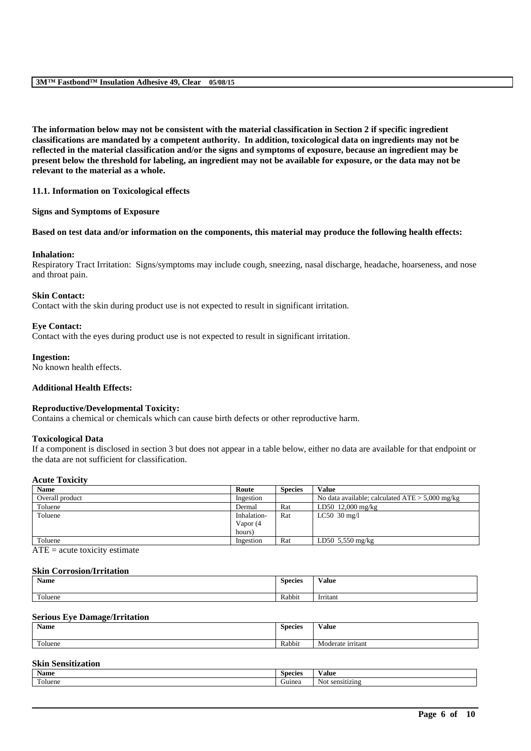**The information below may not be consistent with the material classification in Section 2 if specific ingredient classifications are mandated by a competent authority. In addition, toxicological data on ingredients may not be reflected in the material classification and/or the signs and symptoms of exposure, because an ingredient may be present below the threshold for labeling, an ingredient may not be available for exposure, or the data may not be relevant to the material as a whole.**

# **11.1. Information on Toxicological effects**

### **Signs and Symptoms of Exposure**

### **Based on test data and/or information on the components, this material may produce the following health effects:**

### **Inhalation:**

Respiratory Tract Irritation: Signs/symptoms may include cough, sneezing, nasal discharge, headache, hoarseness, and nose and throat pain.

### **Skin Contact:**

Contact with the skin during product use is not expected to result in significant irritation.

### **Eye Contact:**

Contact with the eyes during product use is not expected to result in significant irritation.

### **Ingestion:**

No known health effects.

### **Additional Health Effects:**

## **Reproductive/Developmental Toxicity:**

Contains a chemical or chemicals which can cause birth defects or other reproductive harm.

### **Toxicological Data**

If a component is disclosed in section 3 but does not appear in a table below, either no data are available for that endpoint or the data are not sufficient for classification.

### **Acute Toxicity**

| Route       | <b>Species</b> | <b>Value</b>                                      |
|-------------|----------------|---------------------------------------------------|
| Ingestion   |                | No data available; calculated $ATE > 5,000$ mg/kg |
| Dermal      | Rat            | LD50 12,000 mg/kg                                 |
| Inhalation- | Rat            | LC50 $30 \text{ mg/l}$                            |
| Vapor (4    |                |                                                   |
| hours)      |                |                                                   |
| Ingestion   | Rat            | LD50 5,550 mg/kg                                  |
|             |                |                                                   |

 $ATE = acute$  toxicity estimate

### **Skin Corrosion/Irritation**

| Name               | $\sim$<br><b>Species</b> | $-  -$<br>√alue    |
|--------------------|--------------------------|--------------------|
| $T = 1$<br>`oluene | Rabbit                   | $\sim$<br>Irritant |

## **Serious Eye Damage/Irritation**

| Name    | Species | Value                       |
|---------|---------|-----------------------------|
| Toluene | Rabbit  | Mo<br>: irritant<br>rderate |

# **Skin Sensitization**

| Name              | <b>Species</b> | Value                     |
|-------------------|----------------|---------------------------|
| $\sim$<br>'oluene | iumea          | Not<br>can<br>sensitizing |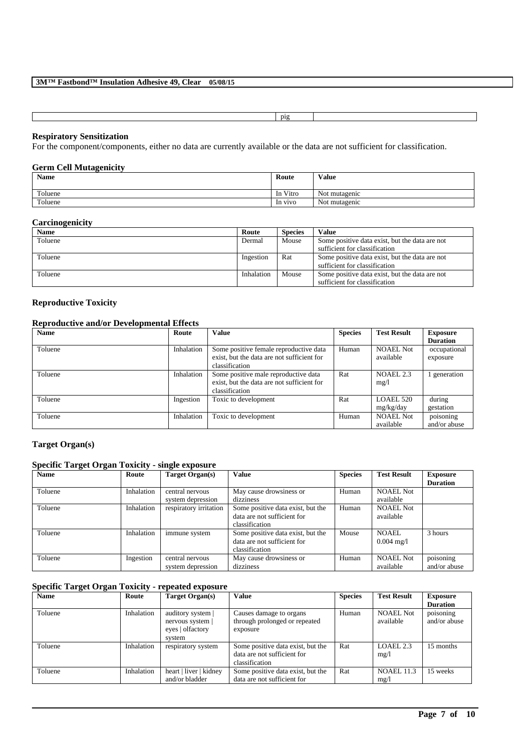| n10 |  |  |
|-----|--|--|

# **Respiratory Sensitization**

For the component/components, either no data are currently available or the data are not sufficient for classification.

## **Germ Cell Mutagenicity**

| <b>Name</b> | Route    | Value         |
|-------------|----------|---------------|
| Toluene     | In Vitro | Not mutagenic |
| Toluene     | In vivo  | Not mutagenic |

### **Carcinogenicity**

| <b>Name</b> | Route      | <b>Species</b> | Value                                          |
|-------------|------------|----------------|------------------------------------------------|
| Toluene     | Dermal     | Mouse          | Some positive data exist, but the data are not |
|             |            |                | sufficient for classification                  |
| Toluene     | Ingestion  | Rat            | Some positive data exist, but the data are not |
|             |            |                | sufficient for classification                  |
| Toluene     | Inhalation | Mouse          | Some positive data exist, but the data are not |
|             |            |                | sufficient for classification                  |

# **Reproductive Toxicity**

### **Reproductive and/or Developmental Effects**

| Name    | Route      | <b>Value</b>                               | <b>Species</b> | <b>Test Result</b> | <b>Exposure</b> |
|---------|------------|--------------------------------------------|----------------|--------------------|-----------------|
|         |            |                                            |                |                    | <b>Duration</b> |
| Toluene | Inhalation | Some positive female reproductive data     | Human          | NOAEL Not          | occupational    |
|         |            | exist, but the data are not sufficient for |                | available          | exposure        |
|         |            | classification                             |                |                    |                 |
| Toluene | Inhalation | Some positive male reproductive data       | Rat            | NOAEL 2.3          | generation      |
|         |            | exist, but the data are not sufficient for |                | mg/1               |                 |
|         |            | classification                             |                |                    |                 |
| Toluene | Ingestion  | Toxic to development                       | Rat            | LOAEL 520          | during          |
|         |            |                                            |                | mg/kg/day          | gestation       |
| Toluene | Inhalation | Toxic to development                       | Human          | <b>NOAEL Not</b>   | poisoning       |
|         |            |                                            |                | available          | and/or abuse    |

# **Target Organ(s)**

# **Specific Target Organ Toxicity - single exposure**

| <b>Name</b> | Route      | Target Organ(s)        | Value                             | <b>Species</b> | <b>Test Result</b>   | <b>Exposure</b> |
|-------------|------------|------------------------|-----------------------------------|----------------|----------------------|-----------------|
|             |            |                        |                                   |                |                      | <b>Duration</b> |
| Toluene     | Inhalation | central nervous        | May cause drowsiness or           | Human          | <b>NOAEL Not</b>     |                 |
|             |            | system depression      | dizziness                         |                | available            |                 |
| Toluene     | Inhalation | respiratory irritation | Some positive data exist, but the | Human          | <b>NOAEL Not</b>     |                 |
|             |            |                        | data are not sufficient for       |                | available            |                 |
|             |            |                        | classification                    |                |                      |                 |
| Toluene     | Inhalation | immune system          | Some positive data exist, but the | Mouse          | NOAEL.               | 3 hours         |
|             |            |                        | data are not sufficient for       |                | $0.004 \text{ mg}/1$ |                 |
|             |            |                        | classification                    |                |                      |                 |
| Toluene     | Ingestion  | central nervous        | May cause drowsiness or           | Human          | <b>NOAEL Not</b>     | poisoning       |
|             |            | system depression      | dizziness                         |                | available            | and/or abuse    |

# **Specific Target Organ Toxicity - repeated exposure**

| <b>Name</b> | Route      | Target Organ(s)                                                     | <b>Value</b>                                                                       | <b>Species</b> | <b>Test Result</b>            | <b>Exposure</b>           |
|-------------|------------|---------------------------------------------------------------------|------------------------------------------------------------------------------------|----------------|-------------------------------|---------------------------|
|             |            |                                                                     |                                                                                    |                |                               | <b>Duration</b>           |
| Toluene     | Inhalation | auditory system  <br>nervous system  <br>eyes   olfactory<br>system | Causes damage to organs<br>through prolonged or repeated<br>exposure               | Human          | <b>NOAEL Not</b><br>available | poisoning<br>and/or abuse |
| Toluene     | Inhalation | respiratory system                                                  | Some positive data exist, but the<br>data are not sufficient for<br>classification | Rat            | LOAEL 2.3<br>mg/1             | 15 months                 |
| Toluene     | Inhalation | heart   liver   kidney<br>and/or bladder                            | Some positive data exist, but the<br>data are not sufficient for                   | Rat            | <b>NOAEL 11.3</b><br>mg/l     | 15 weeks                  |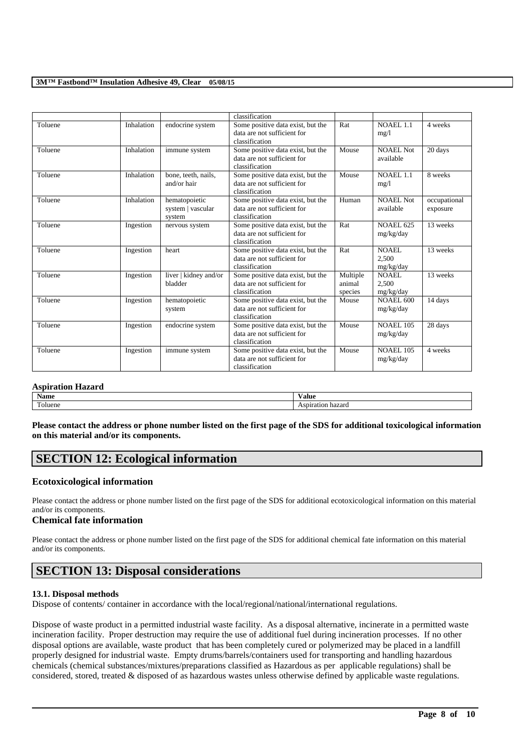|         |            |                                              | classification                                                                     |                               |                               |                          |
|---------|------------|----------------------------------------------|------------------------------------------------------------------------------------|-------------------------------|-------------------------------|--------------------------|
| Toluene | Inhalation | endocrine system                             | Some positive data exist, but the<br>data are not sufficient for<br>classification | Rat                           | <b>NOAEL 1.1</b><br>mg/1      | 4 weeks                  |
| Toluene | Inhalation | immune system                                | Some positive data exist, but the<br>data are not sufficient for<br>classification | Mouse                         | NOAEL Not<br>available        | 20 days                  |
| Toluene | Inhalation | bone, teeth, nails,<br>and/or hair           | Some positive data exist, but the<br>data are not sufficient for<br>classification | Mouse                         | <b>NOAEL 1.1</b><br>mg/1      | 8 weeks                  |
| Toluene | Inhalation | hematopoietic<br>system   vascular<br>system | Some positive data exist, but the<br>data are not sufficient for<br>classification | Human                         | NOAEL Not<br>available        | occupational<br>exposure |
| Toluene | Ingestion  | nervous system                               | Some positive data exist, but the<br>data are not sufficient for<br>classification | Rat                           | <b>NOAEL 625</b><br>mg/kg/day | 13 weeks                 |
| Toluene | Ingestion  | heart                                        | Some positive data exist, but the<br>data are not sufficient for<br>classification | Rat                           | NOAEL.<br>2,500<br>mg/kg/day  | 13 weeks                 |
| Toluene | Ingestion  | liver   kidney and/or<br>bladder             | Some positive data exist, but the<br>data are not sufficient for<br>classification | Multiple<br>animal<br>species | NOAEL.<br>2,500<br>mg/kg/day  | 13 weeks                 |
| Toluene | Ingestion  | hematopoietic<br>system                      | Some positive data exist, but the<br>data are not sufficient for<br>classification | Mouse                         | <b>NOAEL 600</b><br>mg/kg/day | 14 days                  |
| Toluene | Ingestion  | endocrine system                             | Some positive data exist, but the<br>data are not sufficient for<br>classification | Mouse                         | <b>NOAEL 105</b><br>mg/kg/day | 28 days                  |
| Toluene | Ingestion  | immune system                                | Some positive data exist, but the<br>data are not sufficient for<br>classification | Mouse                         | <b>NOAEL 105</b><br>mg/kg/day | 4 weeks                  |

# **Aspiration Hazard**

| . .<br><b>Name</b> | Value      |
|--------------------|------------|
| $\mathbf{r}$       | hazaro     |
| oluene             | Aspiration |

**Please contact the address or phone number listed on the first page of the SDS for additional toxicological information on this material and/or its components.**

# **SECTION 12: Ecological information**

# **Ecotoxicological information**

Please contact the address or phone number listed on the first page of the SDS for additional ecotoxicological information on this material and/or its components.

# **Chemical fate information**

Please contact the address or phone number listed on the first page of the SDS for additional chemical fate information on this material and/or its components.

# **SECTION 13: Disposal considerations**

# **13.1. Disposal methods**

Dispose of contents/ container in accordance with the local/regional/national/international regulations.

Dispose of waste product in a permitted industrial waste facility. As a disposal alternative, incinerate in a permitted waste incineration facility. Proper destruction may require the use of additional fuel during incineration processes. If no other disposal options are available, waste product that has been completely cured or polymerized may be placed in a landfill properly designed for industrial waste. Empty drums/barrels/containers used for transporting and handling hazardous chemicals (chemical substances/mixtures/preparations classified as Hazardous as per applicable regulations) shall be considered, stored, treated & disposed of as hazardous wastes unless otherwise defined by applicable waste regulations.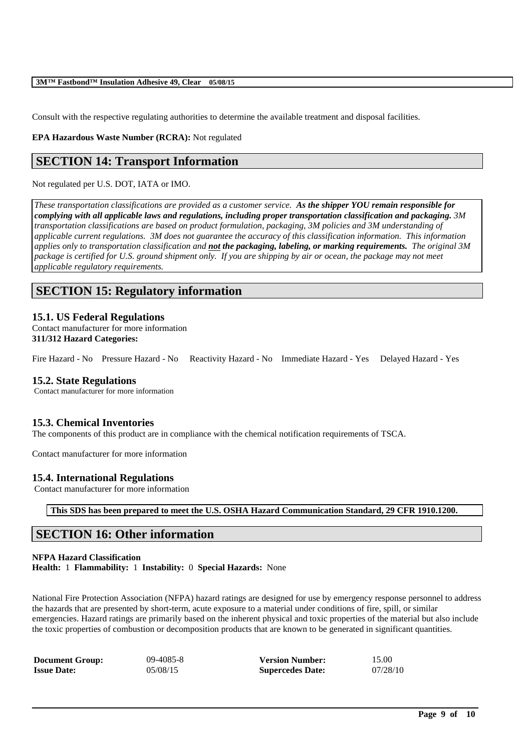Consult with the respective regulating authorities to determine the available treatment and disposal facilities.

**EPA Hazardous Waste Number (RCRA):** Not regulated

# **SECTION 14: Transport Information**

Not regulated per U.S. DOT, IATA or IMO.

*These transportation classifications are provided as a customer service. As the shipper YOU remain responsible for complying with all applicable laws and regulations, including proper transportation classification and packaging. 3M transportation classifications are based on product formulation, packaging, 3M policies and 3M understanding of applicable current regulations. 3M does not guarantee the accuracy of this classification information. This information applies only to transportation classification and not the packaging, labeling, or marking requirements. The original 3M* package is certified for U.S. ground shipment only. If you are shipping by air or ocean, the package may not meet *applicable regulatory requirements.* 

# **SECTION 15: Regulatory information**

# **15.1. US Federal Regulations**

Contact manufacturer for more information **311/312 Hazard Categories:**

Fire Hazard - No Pressure Hazard - No Reactivity Hazard - No Immediate Hazard - Yes Delayed Hazard - Yes

# **15.2. State Regulations**

Contact manufacturer for more information

# **15.3. Chemical Inventories**

The components of this product are in compliance with the chemical notification requirements of TSCA.

Contact manufacturer for more information

# **15.4. International Regulations**

Contact manufacturer for more information

**This SDS has been prepared to meet the U.S. OSHA Hazard Communication Standard, 29 CFR 1910.1200.**

# **SECTION 16: Other information**

### **NFPA Hazard Classification**

**Health:** 1 **Flammability:** 1 **Instability:** 0 **Special Hazards:** None

National Fire Protection Association (NFPA) hazard ratings are designed for use by emergency response personnel to address the hazards that are presented by short-term, acute exposure to a material under conditions of fire, spill, or similar emergencies. Hazard ratings are primarily based on the inherent physical and toxic properties of the material but also include the toxic properties of combustion or decomposition products that are known to be generated in significant quantities.

| <b>Document Group:</b> | $09 - 4085 - 8$ | <b>Version Number:</b>  | 15.00    |
|------------------------|-----------------|-------------------------|----------|
| <b>Issue Date:</b>     | 05/08/15        | <b>Supercedes Date:</b> | 07/28/10 |